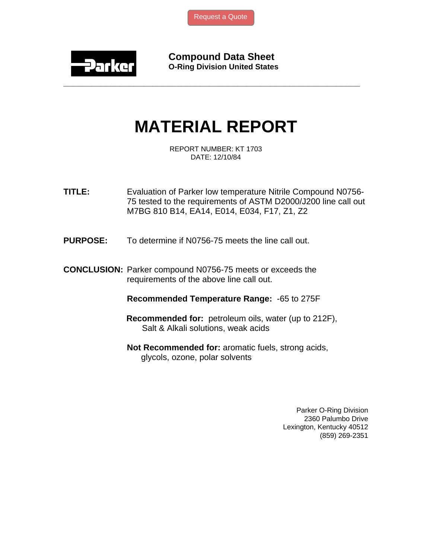[Request a Quote](http://www.marcorubber.com/contact_quote.htm?material=Parker+N0756-75)



**Compound Data Sheet O-Ring Division United States** 

## **MATERIAL REPORT**

**\_\_\_\_\_\_\_\_\_\_\_\_\_\_\_\_\_\_\_\_\_\_\_\_\_\_\_\_\_\_\_\_\_\_\_\_\_\_\_\_\_\_\_\_\_\_\_\_\_\_\_\_\_\_\_\_\_\_\_\_\_\_\_** 

REPORT NUMBER: KT 1703 DATE: 12/10/84

**TITLE:** Evaluation of Parker low temperature Nitrile Compound N0756- 75 tested to the requirements of ASTM D2000/J200 line call out M7BG 810 B14, EA14, E014, E034, F17, Z1, Z2

**PURPOSE:** To determine if N0756-75 meets the line call out.

**CONCLUSION:** Parker compound N0756-75 meets or exceeds the requirements of the above line call out.

**Recommended Temperature Range:** -65 to 275F

- **Recommended for:** petroleum oils, water (up to 212F), Salt & Alkali solutions, weak acids
- **Not Recommended for:** aromatic fuels, strong acids, glycols, ozone, polar solvents

Parker O-Ring Division 2360 Palumbo Drive Lexington, Kentucky 40512 (859) 269-2351